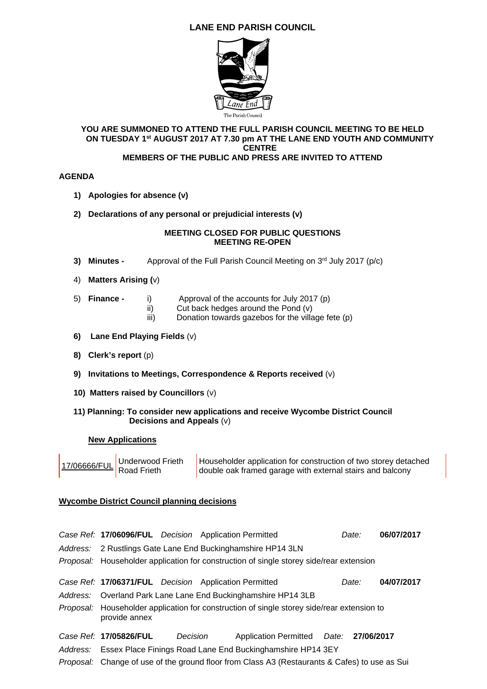# **LANE END PARISH COUNCIL**



#### **YOU ARE SUMMONED TO ATTEND THE FULL PARISH COUNCIL MEETING TO BE HELD ON TUESDAY 1st AUGUST 2017 AT 7.30 pm AT THE LANE END YOUTH AND COMMUNITY CENTRE MEMBERS OF THE PUBLIC AND PRESS ARE INVITED TO ATTEND**

#### **AGENDA**

- **1) Apologies for absence (v)**
- **2) Declarations of any personal or prejudicial interests (v)**

### **MEETING CLOSED FOR PUBLIC QUESTIONS MEETING RE-OPEN**

- **3) Minutes -** Approval of the Full Parish Council Meeting on 3<sup>rd</sup> July 2017 (p/c)
- 4) **Matters Arising (**v)
- 5) **Finance** i) Approval of the accounts for July 2017 (p)
	- ii) Cut back hedges around the Pond (v)<br>iii) Donation towards gazebos for the villa
		- Donation towards gazebos for the village fete (p)
- **6) Lane End Playing Fields** (v)
- **8) Clerk's report** (p)
- **9) Invitations to Meetings, Correspondence & Reports received** (v)
- **10) Matters raised by Councillors** (v)

### **11) Planning: To consider new applications and receive Wycombe District Council Decisions and Appeals** (v)

#### **New Applications**

|  | 17/06666/FUL Underwood Frieth | Householder application for construction of two storey detached<br>double oak framed garage with external stairs and balcony |
|--|-------------------------------|------------------------------------------------------------------------------------------------------------------------------|
|--|-------------------------------|------------------------------------------------------------------------------------------------------------------------------|

## **Wycombe District Council planning decisions**

|                                                                                                                    |          | Case Ref: 17/06096/FUL Decision Application Permitted |                                        | Date: | 06/07/2017 |  |
|--------------------------------------------------------------------------------------------------------------------|----------|-------------------------------------------------------|----------------------------------------|-------|------------|--|
| Address: 2 Rustlings Gate Lane End Buckinghamshire HP14 3LN                                                        |          |                                                       |                                        |       |            |  |
| Proposal: Householder application for construction of single storey side/rear extension                            |          |                                                       |                                        |       |            |  |
|                                                                                                                    |          | Case Ref: 17/06371/FUL Decision Application Permitted |                                        | Date: | 04/07/2017 |  |
| Address: Overland Park Lane Lane End Buckinghamshire HP14 3LB                                                      |          |                                                       |                                        |       |            |  |
| <i>Proposal:</i> Householder application for construction of single storey side/rear extension to<br>provide annex |          |                                                       |                                        |       |            |  |
| Case Ref: 17/05826/FUL                                                                                             | Decision |                                                       | Application Permitted Date: 27/06/2017 |       |            |  |
| Address: Essex Place Finings Road Lane End Buckinghamshire HP14 3EY                                                |          |                                                       |                                        |       |            |  |
| Proposal: Change of use of the ground floor from Class A3 (Restaurants & Cafes) to use as Sui                      |          |                                                       |                                        |       |            |  |